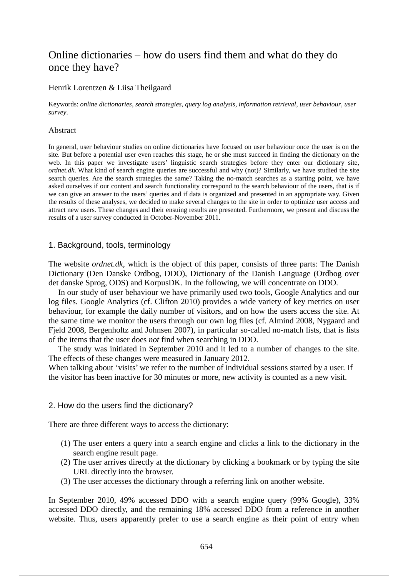# Online dictionaries – how do users find them and what do they do once they have?

#### Henrik Lorentzen & Liisa Theilgaard

Keywords: *online dictionaries*, *search strategies*, *query log analysis*, *information retrieval*, *user behaviour*, *user survey*.

#### Abstract

In general, user behaviour studies on online dictionaries have focused on user behaviour once the user is on the site. But before a potential user even reaches this stage, he or she must succeed in finding the dictionary on the web. In this paper we investigate users' linguistic search strategies before they enter our dictionary site, *ordnet.dk*. What kind of search engine queries are successful and why (not)? Similarly, we have studied the site search queries. Are the search strategies the same? Taking the no-match searches as a starting point, we have asked ourselves if our content and search functionality correspond to the search behaviour of the users, that is if we can give an answer to the users' queries and if data is organized and presented in an appropriate way. Given the results of these analyses, we decided to make several changes to the site in order to optimize user access and attract new users. These changes and their ensuing results are presented. Furthermore, we present and discuss the results of a user survey conducted in October-November 2011.

#### 1. Background, tools, terminology

The website *ordnet.dk*, which is the object of this paper, consists of three parts: The Danish Dictionary (Den Danske Ordbog, DDO), Dictionary of the Danish Language (Ordbog over det danske Sprog, ODS) and KorpusDK. In the following, we will concentrate on DDO.

In our study of user behaviour we have primarily used two tools, Google Analytics and our log files. Google Analytics (cf. Clifton 2010) provides a wide variety of key metrics on user behaviour, for example the daily number of visitors, and on how the users access the site. At the same time we monitor the users through our own log files (cf. Almind 2008, Nygaard and Fjeld 2008, Bergenholtz and Johnsen 2007), in particular so-called no-match lists, that is lists of the items that the user does *not* find when searching in DDO.

The study was initiated in September 2010 and it led to a number of changes to the site. The effects of these changes were measured in January 2012.

When talking about 'visits' we refer to the number of individual sessions started by a user. If the visitor has been inactive for 30 minutes or more, new activity is counted as a new visit.

#### 2. How do the users find the dictionary?

There are three different ways to access the dictionary:

- (1) The user enters a query into a search engine and clicks a link to the dictionary in the search engine result page.
- (2) The user arrives directly at the dictionary by clicking a bookmark or by typing the site URL directly into the browser.
- (3) The user accesses the dictionary through a referring link on another website.

In September 2010, 49% accessed DDO with a search engine query (99% Google), 33% accessed DDO directly, and the remaining 18% accessed DDO from a reference in another website. Thus, users apparently prefer to use a search engine as their point of entry when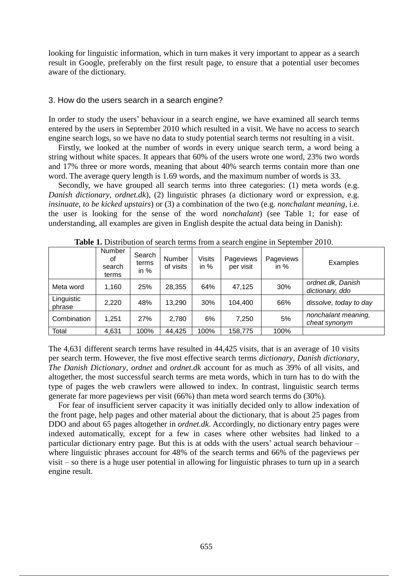looking for linguistic information, which in turn makes it very important to appear as a search result in Google, preferably on the first result page, to ensure that a potential user becomes aware of the dictionary.

### 3. How do the users search in a search engine?

In order to study the users' behaviour in a search engine, we have examined all search terms entered by the users in September 2010 which resulted in a visit. We have no access to search engine search logs, so we have no data to study potential search terms not resulting in a visit.

Firstly, we looked at the number of words in every unique search term, a word being a string without white spaces. It appears that 60% of the users wrote one word, 23% two words and 17% three or more words, meaning that about 40% search terms contain more than one word. The average query length is 1.69 words, and the maximum number of words is 33.

Secondly, we have grouped all search terms into three categories: (1) meta words (e.g. *Danish dictionary*, *ordnet.dk*), (2) linguistic phrases (a dictionary word or expression, e.g. *insinuate*, *to be kicked upstairs*) or (3) a combination of the two (e.g. *nonchalant meaning*, i.e. the user is looking for the sense of the word *nonchalant*) (see Table 1; for ease of understanding, all examples are given in English despite the actual data being in Danish):

|                      | Number<br>οf<br>search<br>terms | Search<br>terms<br>in $%$ | <b>Number</b><br>of visits | <b>Visits</b><br>in $%$ | Pageviews<br>per visit | Pageviews<br>in $%$ | Examples                             |
|----------------------|---------------------------------|---------------------------|----------------------------|-------------------------|------------------------|---------------------|--------------------------------------|
| Meta word            | 1,160                           | 25%                       | 28,355                     | 64%                     | 47,125                 | 30%                 | ordnet.dk, Danish<br>dictionary, ddo |
| Linguistic<br>phrase | 2,220                           | 48%                       | 13,290                     | 30%                     | 104.400                | 66%                 | dissolve, today to day               |
| Combination          | 1,251                           | 27%                       | 2,780                      | 6%                      | 7,250                  | 5%                  | nonchalant meaning,<br>cheat synonym |
| Total                | 4,631                           | 100%                      | 44,425                     | 100%                    | 158,775                | 100%                |                                      |

**Table 1.** Distribution of search terms from a search engine in September 2010.

The 4,631 different search terms have resulted in 44,425 visits, that is an average of 10 visits per search term. However, the five most effective search terms *dictionary*, *Danish dictionary*, *The Danish Dictionary*, *ordnet* and *ordnet.dk* account for as much as 39% of all visits, and altogether, the most successful search terms are meta words, which in turn has to do with the type of pages the web crawlers were allowed to index. In contrast, linguistic search terms generate far more pageviews per visit (66%) than meta word search terms do (30%).

For fear of insufficient server capacity it was initially decided only to allow indexation of the front page, help pages and other material about the dictionary, that is about 25 pages from DDO and about 65 pages altogether in *ordnet.dk*. Accordingly, no dictionary entry pages were indexed automatically, except for a few in cases where other websites had linked to a particular dictionary entry page. But this is at odds with the users' actual search behaviour – where linguistic phrases account for 48% of the search terms and 66% of the pageviews per visit – so there is a huge user potential in allowing for linguistic phrases to turn up in a search engine result.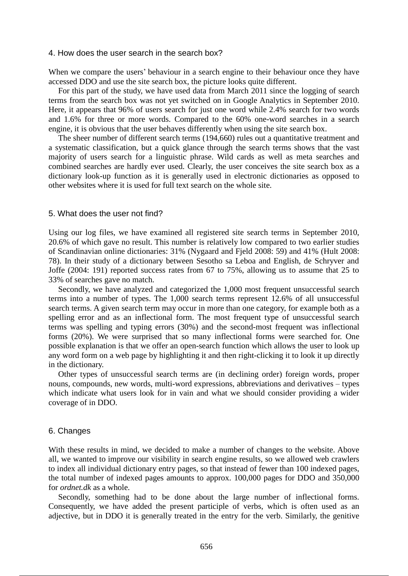#### 4. How does the user search in the search box?

When we compare the users' behaviour in a search engine to their behaviour once they have accessed DDO and use the site search box, the picture looks quite different.

For this part of the study, we have used data from March 2011 since the logging of search terms from the search box was not yet switched on in Google Analytics in September 2010. Here, it appears that 96% of users search for just one word while 2.4% search for two words and 1.6% for three or more words. Compared to the 60% one-word searches in a search engine, it is obvious that the user behaves differently when using the site search box.

The sheer number of different search terms (194,660) rules out a quantitative treatment and a systematic classification, but a quick glance through the search terms shows that the vast majority of users search for a linguistic phrase. Wild cards as well as meta searches and combined searches are hardly ever used. Clearly, the user conceives the site search box as a dictionary look-up function as it is generally used in electronic dictionaries as opposed to other websites where it is used for full text search on the whole site.

#### 5. What does the user not find?

Using our log files, we have examined all registered site search terms in September 2010, 20.6% of which gave no result. This number is relatively low compared to two earlier studies of Scandinavian online dictionaries: 31% (Nygaard and Fjeld 2008: 59) and 41% (Hult 2008: 78). In their study of a dictionary between Sesotho sa Leboa and English, de Schryver and Joffe (2004: 191) reported success rates from 67 to 75%, allowing us to assume that 25 to 33% of searches gave no match.

Secondly, we have analyzed and categorized the 1,000 most frequent unsuccessful search terms into a number of types. The 1,000 search terms represent 12.6% of all unsuccessful search terms. A given search term may occur in more than one category, for example both as a spelling error and as an inflectional form. The most frequent type of unsuccessful search terms was spelling and typing errors (30%) and the second-most frequent was inflectional forms (20%). We were surprised that so many inflectional forms were searched for. One possible explanation is that we offer an open-search function which allows the user to look up any word form on a web page by highlighting it and then right-clicking it to look it up directly in the dictionary.

Other types of unsuccessful search terms are (in declining order) foreign words, proper nouns, compounds, new words, multi-word expressions, abbreviations and derivatives – types which indicate what users look for in vain and what we should consider providing a wider coverage of in DDO.

#### 6. Changes

With these results in mind, we decided to make a number of changes to the website. Above all, we wanted to improve our visibility in search engine results, so we allowed web crawlers to index all individual dictionary entry pages, so that instead of fewer than 100 indexed pages, the total number of indexed pages amounts to approx. 100,000 pages for DDO and 350,000 for *ordnet.dk* as a whole.

Secondly, something had to be done about the large number of inflectional forms. Consequently, we have added the present participle of verbs, which is often used as an adjective, but in DDO it is generally treated in the entry for the verb. Similarly, the genitive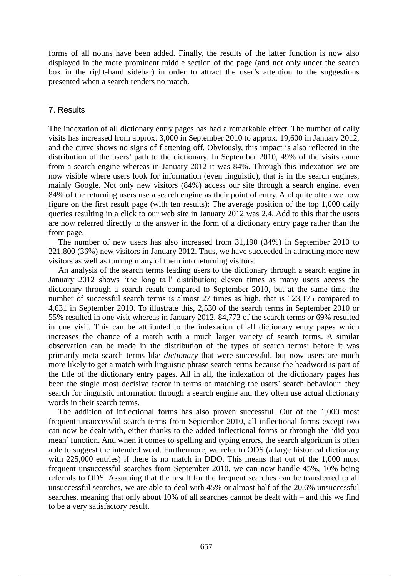forms of all nouns have been added. Finally, the results of the latter function is now also displayed in the more prominent middle section of the page (and not only under the search box in the right-hand sidebar) in order to attract the user's attention to the suggestions presented when a search renders no match.

# 7. Results

The indexation of all dictionary entry pages has had a remarkable effect. The number of daily visits has increased from approx. 3,000 in September 2010 to approx. 19,600 in January 2012, and the curve shows no signs of flattening off. Obviously, this impact is also reflected in the distribution of the users' path to the dictionary. In September 2010, 49% of the visits came from a search engine whereas in January 2012 it was 84%. Through this indexation we are now visible where users look for information (even linguistic), that is in the search engines, mainly Google. Not only new visitors (84%) access our site through a search engine, even 84% of the returning users use a search engine as their point of entry. And quite often we now figure on the first result page (with ten results): The average position of the top 1,000 daily queries resulting in a click to our web site in January 2012 was 2.4. Add to this that the users are now referred directly to the answer in the form of a dictionary entry page rather than the front page.

The number of new users has also increased from 31,190 (34%) in September 2010 to 221,800 (36%) new visitors in January 2012. Thus, we have succeeded in attracting more new visitors as well as turning many of them into returning visitors.

An analysis of the search terms leading users to the dictionary through a search engine in January 2012 shows 'the long tail' distribution; eleven times as many users access the dictionary through a search result compared to September 2010, but at the same time the number of successful search terms is almost 27 times as high, that is 123,175 compared to 4,631 in September 2010. To illustrate this, 2,530 of the search terms in September 2010 or 55% resulted in one visit whereas in January 2012, 84,773 of the search terms or 69% resulted in one visit. This can be attributed to the indexation of all dictionary entry pages which increases the chance of a match with a much larger variety of search terms. A similar observation can be made in the distribution of the types of search terms: before it was primarily meta search terms like *dictionary* that were successful, but now users are much more likely to get a match with linguistic phrase search terms because the headword is part of the title of the dictionary entry pages. All in all, the indexation of the dictionary pages has been the single most decisive factor in terms of matching the users' search behaviour: they search for linguistic information through a search engine and they often use actual dictionary words in their search terms.

The addition of inflectional forms has also proven successful. Out of the 1,000 most frequent unsuccessful search terms from September 2010, all inflectional forms except two can now be dealt with, either thanks to the added inflectional forms or through the 'did you mean' function. And when it comes to spelling and typing errors, the search algorithm is often able to suggest the intended word. Furthermore, we refer to ODS (a large historical dictionary with 225,000 entries) if there is no match in DDO. This means that out of the 1,000 most frequent unsuccessful searches from September 2010, we can now handle 45%, 10% being referrals to ODS. Assuming that the result for the frequent searches can be transferred to all unsuccessful searches, we are able to deal with 45% or almost half of the 20.6% unsuccessful searches, meaning that only about 10% of all searches cannot be dealt with – and this we find to be a very satisfactory result.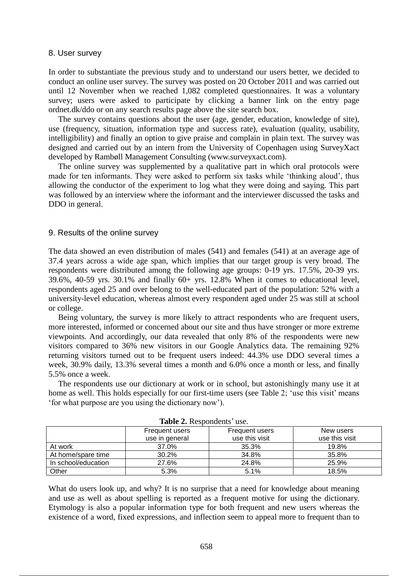#### 8. User survey

In order to substantiate the previous study and to understand our users better, we decided to conduct an online user survey. The survey was posted on 20 October 2011 and was carried out until 12 November when we reached 1,082 completed questionnaires. It was a voluntary survey; users were asked to participate by clicking a banner link on the entry page ordnet.dk/ddo or on any search results page above the site search box.

The survey contains questions about the user (age, gender, education, knowledge of site), use (frequency, situation, information type and success rate), evaluation (quality, usability, intelligibility) and finally an option to give praise and complain in plain text. The survey was designed and carried out by an intern from the University of Copenhagen using SurveyXact developed by Rambøll Management Consulting (www.surveyxact.com).

The online survey was supplemented by a qualitative part in which oral protocols were made for ten informants. They were asked to perform six tasks while 'thinking aloud', thus allowing the conductor of the experiment to log what they were doing and saying. This part was followed by an interview where the informant and the interviewer discussed the tasks and DDO in general.

## 9. Results of the online survey

The data showed an even distribution of males (541) and females (541) at an average age of 37.4 years across a wide age span, which implies that our target group is very broad. The respondents were distributed among the following age groups: 0-19 yrs. 17.5%, 20-39 yrs.  $39.6\%$ ,  $40-59$  yrs.  $30.1\%$  and finally  $60+$  yrs.  $12.8\%$  When it comes to educational level, respondents aged 25 and over belong to the well-educated part of the population: 52% with a university-level education, whereas almost every respondent aged under 25 was still at school or college.

Being voluntary, the survey is more likely to attract respondents who are frequent users, more interested, informed or concerned about our site and thus have stronger or more extreme viewpoints. And accordingly, our data revealed that only 8% of the respondents were new visitors compared to 36% new visitors in our Google Analytics data. The remaining 92% returning visitors turned out to be frequent users indeed: 44.3% use DDO several times a week, 30.9% daily, 13.3% several times a month and 6.0% once a month or less, and finally 5.5% once a week.

The respondents use our dictionary at work or in school, but astonishingly many use it at home as well. This holds especially for our first-time users (see Table 2; 'use this visit' means 'for what purpose are you using the dictionary now').

|                     | <b>Frequent users</b> | Frequent users | New users      |  |  |  |  |  |
|---------------------|-----------------------|----------------|----------------|--|--|--|--|--|
|                     | use in general        | use this visit | use this visit |  |  |  |  |  |
| At work             | 37.0%                 | 35.3%          | 19.8%          |  |  |  |  |  |
| At home/spare time  | 30.2%                 | 34.8%          | 35.8%          |  |  |  |  |  |
| In school/education | 27.6%                 | 24.8%          | 25.9%          |  |  |  |  |  |
| Other               | 5.3%                  | 5.1%           | 18.5%          |  |  |  |  |  |

**Table 2.** Respondents' use.

What do users look up, and why? It is no surprise that a need for knowledge about meaning and use as well as about spelling is reported as a frequent motive for using the dictionary. Etymology is also a popular information type for both frequent and new users whereas the existence of a word, fixed expressions, and inflection seem to appeal more to frequent than to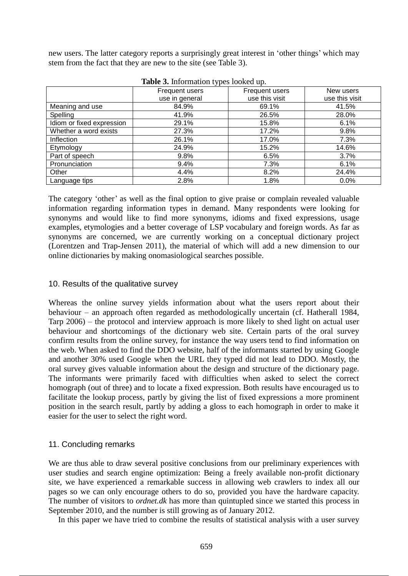new users. The latter category reports a surprisingly great interest in 'other things' which may stem from the fact that they are new to the site (see Table 3).

| <b>THOICE, HILDIHAGION CAPED TOOKCH WP.</b> |                |                |                |  |  |  |  |  |
|---------------------------------------------|----------------|----------------|----------------|--|--|--|--|--|
|                                             | Frequent users | Frequent users | New users      |  |  |  |  |  |
|                                             | use in general | use this visit | use this visit |  |  |  |  |  |
| Meaning and use                             | 84.9%          | 69.1%          | 41.5%          |  |  |  |  |  |
| Spelling                                    | 41.9%          | 26.5%          | 28.0%          |  |  |  |  |  |
| Idiom or fixed expression                   | 29.1%          | 15.8%          | 6.1%           |  |  |  |  |  |
| Whether a word exists                       | 27.3%          | 17.2%          | 9.8%           |  |  |  |  |  |
| Inflection                                  | 26.1%          | 17.0%          | 7.3%           |  |  |  |  |  |
| Etymology                                   | 24.9%          | 15.2%          | 14.6%          |  |  |  |  |  |
| Part of speech                              | 9.8%           | 6.5%           | 3.7%           |  |  |  |  |  |
| Pronunciation                               | 9.4%           | 7.3%           | 6.1%           |  |  |  |  |  |
| Other                                       | 4.4%           | 8.2%           | 24.4%          |  |  |  |  |  |
| Language tips                               | 2.8%           | 1.8%           | 0.0%           |  |  |  |  |  |

**Table 3.** Information types looked up.

The category 'other' as well as the final option to give praise or complain revealed valuable information regarding information types in demand. Many respondents were looking for synonyms and would like to find more synonyms, idioms and fixed expressions, usage examples, etymologies and a better coverage of LSP vocabulary and foreign words. As far as synonyms are concerned, we are currently working on a conceptual dictionary project (Lorentzen and Trap-Jensen 2011), the material of which will add a new dimension to our online dictionaries by making onomasiological searches possible.

### 10. Results of the qualitative survey

Whereas the online survey yields information about what the users report about their behaviour – an approach often regarded as methodologically uncertain (cf. Hatherall 1984, Tarp 2006) – the protocol and interview approach is more likely to shed light on actual user behaviour and shortcomings of the dictionary web site. Certain parts of the oral survey confirm results from the online survey, for instance the way users tend to find information on the web. When asked to find the DDO website, half of the informants started by using Google and another 30% used Google when the URL they typed did not lead to DDO. Mostly, the oral survey gives valuable information about the design and structure of the dictionary page. The informants were primarily faced with difficulties when asked to select the correct homograph (out of three) and to locate a fixed expression. Both results have encouraged us to facilitate the lookup process, partly by giving the list of fixed expressions a more prominent position in the search result, partly by adding a gloss to each homograph in order to make it easier for the user to select the right word.

# 11. Concluding remarks

We are thus able to draw several positive conclusions from our preliminary experiences with user studies and search engine optimization: Being a freely available non-profit dictionary site, we have experienced a remarkable success in allowing web crawlers to index all our pages so we can only encourage others to do so, provided you have the hardware capacity. The number of visitors to *ordnet.dk* has more than quintupled since we started this process in September 2010, and the number is still growing as of January 2012.

In this paper we have tried to combine the results of statistical analysis with a user survey